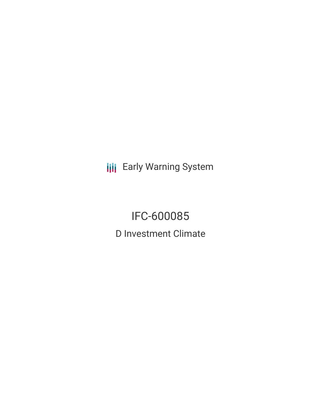**III** Early Warning System

IFC-600085 D Investment Climate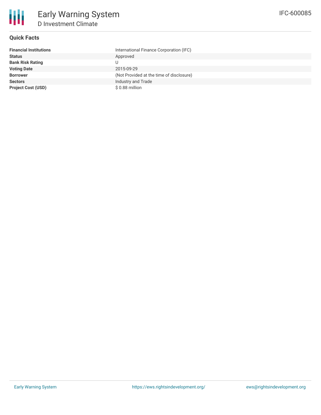

# **Quick Facts**

| <b>Financial Institutions</b> | International Finance Corporation (IFC)  |
|-------------------------------|------------------------------------------|
| <b>Status</b>                 | Approved                                 |
| <b>Bank Risk Rating</b>       |                                          |
| <b>Voting Date</b>            | 2015-09-29                               |
| <b>Borrower</b>               | (Not Provided at the time of disclosure) |
| <b>Sectors</b>                | Industry and Trade                       |
| <b>Project Cost (USD)</b>     | \$0.88 million                           |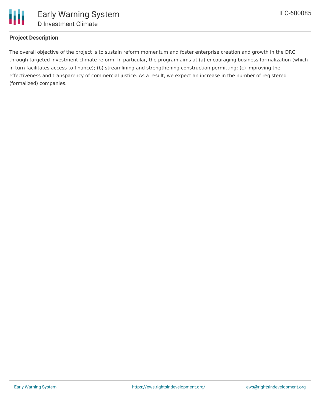

# **Project Description**

The overall objective of the project is to sustain reform momentum and foster enterprise creation and growth in the DRC through targeted investment climate reform. In particular, the program aims at (a) encouraging business formalization (which in turn facilitates access to finance); (b) streamlining and strengthening construction permitting; (c) improving the effectiveness and transparency of commercial justice. As a result, we expect an increase in the number of registered (formalized) companies.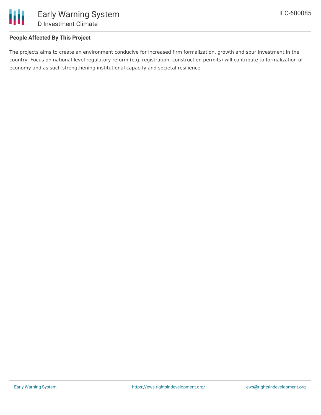

## **People Affected By This Project**

The projects aims to create an environment conducive for increased firm formalization, growth and spur investment in the country. Focus on national-level regulatory reform (e.g. registration, construction permits) will contribute to formalization of economy and as such strengthening institutional capacity and societal resilience.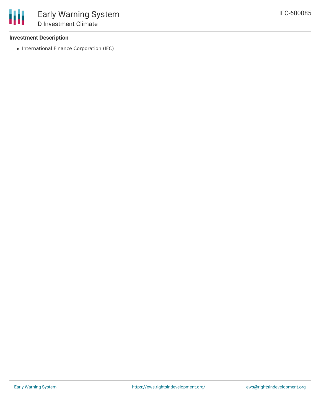#### **Investment Description**

• International Finance Corporation (IFC)